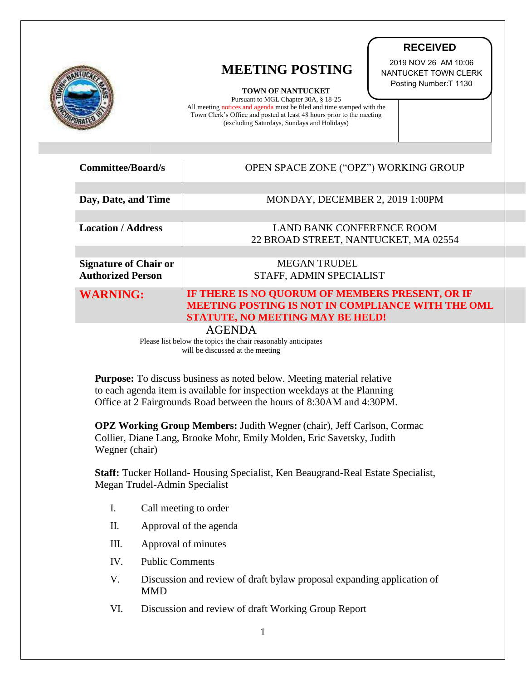|                                                                                                                    | <b>MEETING POSTING</b><br><b>TOWN OF NANTUCKET</b><br>Pursuant to MGL Chapter 30A, § 18-25<br>All meeting notices and agenda must be filed and time stamped with the<br>Town Clerk's Office and posted at least 48 hours prior to the meeting<br>(excluding Saturdays, Sundays and Holidays) | <b>RECEIVED</b><br>2019 NOV 26 AM 10:06<br>NANTUCKET TOWN CLERK<br>Posting Number: T 1130 |
|--------------------------------------------------------------------------------------------------------------------|----------------------------------------------------------------------------------------------------------------------------------------------------------------------------------------------------------------------------------------------------------------------------------------------|-------------------------------------------------------------------------------------------|
| <b>Committee/Board/s</b>                                                                                           | OPEN SPACE ZONE ("OPZ") WORKING GROUP                                                                                                                                                                                                                                                        |                                                                                           |
| Day, Date, and Time                                                                                                | MONDAY, DECEMBER 2, 2019 1:00PM                                                                                                                                                                                                                                                              |                                                                                           |
|                                                                                                                    |                                                                                                                                                                                                                                                                                              |                                                                                           |
| <b>Location / Address</b>                                                                                          | <b>LAND BANK CONFERENCE ROOM</b>                                                                                                                                                                                                                                                             |                                                                                           |
|                                                                                                                    | 22 BROAD STREET, NANTUCKET, MA 02554                                                                                                                                                                                                                                                         |                                                                                           |
| <b>Signature of Chair or</b>                                                                                       | <b>MEGAN TRUDEL</b>                                                                                                                                                                                                                                                                          |                                                                                           |
| <b>Authorized Person</b>                                                                                           | STAFF, ADMIN SPECIALIST                                                                                                                                                                                                                                                                      |                                                                                           |
| <b>WARNING:</b>                                                                                                    | IF THERE IS NO QUORUM OF MEMBERS PRESENT, OR IF<br>MEETING POSTING IS NOT IN COMPLIANCE WITH THE OML<br><b>STATUTE, NO MEETING MAY BE HELD!</b>                                                                                                                                              |                                                                                           |
| <b>AGENDA</b><br>Please list below the topics the chair reasonably anticipates<br>will be discussed at the meeting |                                                                                                                                                                                                                                                                                              |                                                                                           |

**Purpose:** To discuss business as noted below. Meeting material relative to each agenda item is available for inspection weekdays at the Planning Office at 2 Fairgrounds Road between the hours of 8:30AM and 4:30PM.

**OPZ Working Group Members:** Judith Wegner (chair), Jeff Carlson, Cormac Collier, Diane Lang, Brooke Mohr, Emily Molden, Eric Savetsky, Judith Wegner (chair)

**Staff:** Tucker Holland- Housing Specialist, Ken Beaugrand-Real Estate Specialist, Megan Trudel-Admin Specialist

- I. Call meeting to order
- II. Approval of the agenda
- III. Approval of minutes
- IV. Public Comments
- V. Discussion and review of draft bylaw proposal expanding application of MMD
- VI. Discussion and review of draft Working Group Report